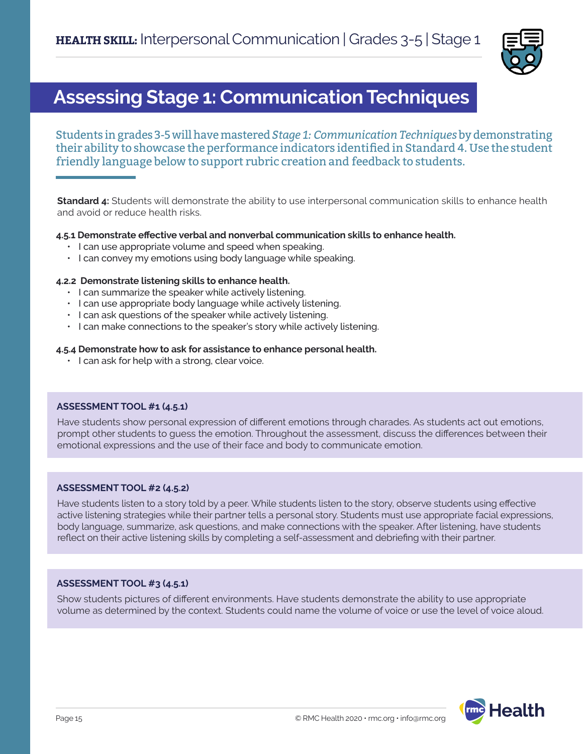

### **Assessing Stage 1: Communication Techniques**

Students in grades 3-5 will have mastered *Stage 1: Communication Techniques* by demonstrating their ability to showcase the performance indicators identified in Standard 4. Use the student friendly language below to support rubric creation and feedback to students.

**Standard 4:** Students will demonstrate the ability to use interpersonal communication skills to enhance health and avoid or reduce health risks.

### **4.5.1 Demonstrate effective verbal and nonverbal communication skills to enhance health.**

- I can use appropriate volume and speed when speaking.
- I can convey my emotions using body language while speaking.

### **4.2.2 Demonstrate listening skills to enhance health.**

- I can summarize the speaker while actively listening.
- I can use appropriate body language while actively listening.
- I can ask questions of the speaker while actively listening.
- I can make connections to the speaker's story while actively listening.

### **4.5.4 Demonstrate how to ask for assistance to enhance personal health.**

• I can ask for help with a strong, clear voice.

### **ASSESSMENT TOOL #1 (4.5.1)**

Have students show personal expression of different emotions through charades. As students act out emotions, prompt other students to guess the emotion. Throughout the assessment, discuss the differences between their emotional expressions and the use of their face and body to communicate emotion.

### **ASSESSMENT TOOL #2 (4.5.2)**

Have students listen to a story told by a peer. While students listen to the story, observe students using effective active listening strategies while their partner tells a personal story. Students must use appropriate facial expressions, body language, summarize, ask questions, and make connections with the speaker. After listening, have students reflect on their active listening skills by completing a self-assessment and debriefing with their partner.

### **ASSESSMENT TOOL #3 (4.5.1)**

Show students pictures of different environments. Have students demonstrate the ability to use appropriate volume as determined by the context. Students could name the volume of voice or use the level of voice aloud.

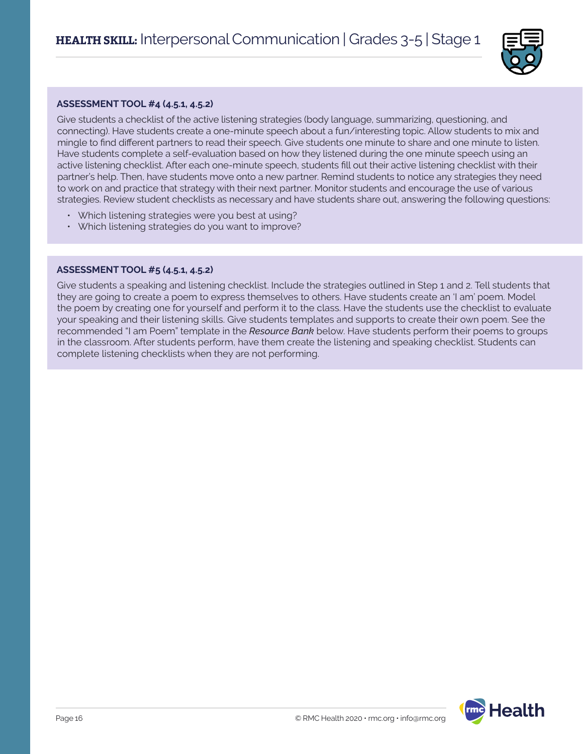

### **ASSESSMENT TOOL #4 (4.5.1, 4.5.2)**

Give students a checklist of the active listening strategies (body language, summarizing, questioning, and connecting). Have students create a one-minute speech about a fun/interesting topic. Allow students to mix and mingle to find different partners to read their speech. Give students one minute to share and one minute to listen. Have students complete a self-evaluation based on how they listened during the one minute speech using an active listening checklist. After each one-minute speech, students fill out their active listening checklist with their partner's help. Then, have students move onto a new partner. Remind students to notice any strategies they need to work on and practice that strategy with their next partner. Monitor students and encourage the use of various strategies. Review student checklists as necessary and have students share out, answering the following questions:

- Which listening strategies were you best at using?
- Which listening strategies do you want to improve?

### **ASSESSMENT TOOL #5 (4.5.1, 4.5.2)**

Give students a speaking and listening checklist. Include the strategies outlined in Step 1 and 2. Tell students that they are going to create a poem to express themselves to others. Have students create an 'I am' poem. Model the poem by creating one for yourself and perform it to the class. Have the students use the checklist to evaluate your speaking and their listening skills. Give students templates and supports to create their own poem. See the recommended "I am Poem" template in the *Resource Bank* below. Have students perform their poems to groups in the classroom. After students perform, have them create the listening and speaking checklist. Students can complete listening checklists when they are not performing.

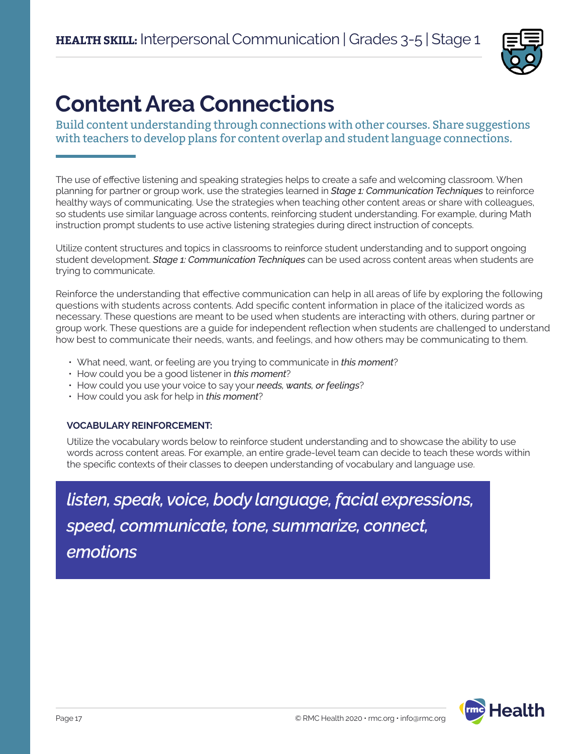

## **Content Area Connections**

Build content understanding through connections with other courses. Share suggestions with teachers to develop plans for content overlap and student language connections.

The use of effective listening and speaking strategies helps to create a safe and welcoming classroom. When planning for partner or group work, use the strategies learned in *Stage 1: Communication Techniques* to reinforce healthy ways of communicating. Use the strategies when teaching other content areas or share with colleagues, so students use similar language across contents, reinforcing student understanding. For example, during Math instruction prompt students to use active listening strategies during direct instruction of concepts.

Utilize content structures and topics in classrooms to reinforce student understanding and to support ongoing student development. *Stage 1: Communication Techniques* can be used across content areas when students are trying to communicate.

Reinforce the understanding that effective communication can help in all areas of life by exploring the following questions with students across contents. Add specific content information in place of the italicized words as necessary. These questions are meant to be used when students are interacting with others, during partner or group work. These questions are a guide for independent reflection when students are challenged to understand how best to communicate their needs, wants, and feelings, and how others may be communicating to them.

- What need, want, or feeling are you trying to communicate in *this moment*?
- How could you be a good listener in *this moment*?
- How could you use your voice to say your *needs, wants, or feelings*?
- How could you ask for help in *this moment*?

### **VOCABULARY REINFORCEMENT:**

Utilize the vocabulary words below to reinforce student understanding and to showcase the ability to use words across content areas. For example, an entire grade-level team can decide to teach these words within the specific contexts of their classes to deepen understanding of vocabulary and language use.

*listen, speak, voice, body language, facial expressions, speed, communicate, tone, summarize, connect, emotions*